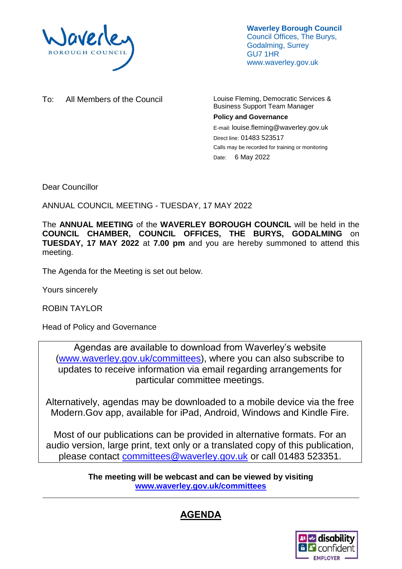

**Waverley Borough Council** Council Offices, The Burys, Godalming, Surrey GU7 1HR www.waverley.gov.uk

To: All Members of the Council Louise Fleming, Democratic Services &

Business Support Team Manager **Policy and Governance**

E-mail: louise.fleming@waverley.gov.uk Direct line: 01483 523517 Calls may be recorded for training or monitoring Date: 6 May 2022

Dear Councillor

ANNUAL COUNCIL MEETING - TUESDAY, 17 MAY 2022

The **ANNUAL MEETING** of the **WAVERLEY BOROUGH COUNCIL** will be held in the **COUNCIL CHAMBER, COUNCIL OFFICES, THE BURYS, GODALMING** on **TUESDAY, 17 MAY 2022** at **7.00 pm** and you are hereby summoned to attend this meeting.

The Agenda for the Meeting is set out below.

Yours sincerely

ROBIN TAYLOR

Head of Policy and Governance

Agendas are available to download from Waverley's website [\(www.waverley.gov.uk/committees\)](http://www.waverley.gov.uk/committees), where you can also subscribe to updates to receive information via email regarding arrangements for particular committee meetings.

Alternatively, agendas may be downloaded to a mobile device via the free Modern.Gov app, available for iPad, Android, Windows and Kindle Fire.

Most of our publications can be provided in alternative formats. For an audio version, large print, text only or a translated copy of this publication, please contact [committees@waverley.gov.uk](mailto:committees@waverley.gov.uk) or call 01483 523351.

> **The meeting will be webcast and can be viewed by visiting [www.waverley.gov.uk/committees](http://www.waverley.gov.uk/committees)**

## **AGENDA**